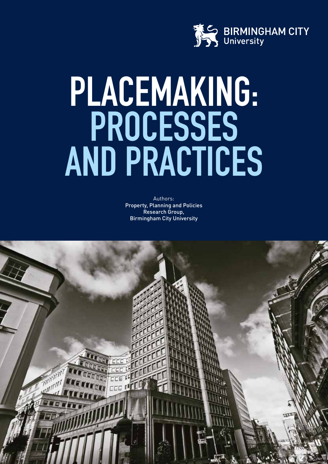

# **PLACEMAKING: PROCESSES AND PRACTICES**

Authors: Property, Planning and Policies Research Group, Birmingham City University

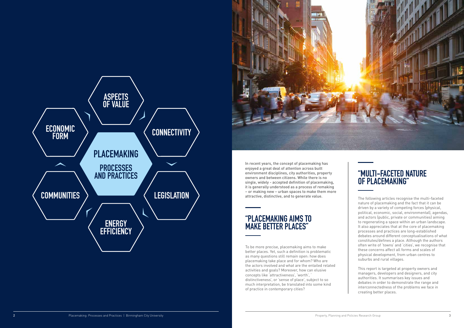The following articles recognise the multi-faceted nature of placemaking and the fact that it can be driven by a variety of competing forces (physical, political, economic, social, environmental), agendas, and actors (public, private or communities) aiming to regenerating a space within an urban landscape. It also appreciates that at the core of placemaking processes and practices are long-established debates around different conceptualisations of what constitutes/defines a place. Although the authors often write of 'towns' and 'cities', we recognise that these concerns affect all forms and scales of physical development, from urban centres to suburbs and rural villages.

This report is targeted at property owners and managers, developers and designers, and city authorities. It summarises key issues and debates in order to demonstrate the range and interconnectedness of the problems we face in creating better places.

### **"PLACEMAKING AIMS TO MAKE BETTER PLACES"**

### **"MULTI-FACETED NATURE OF PLACEMAKING"**

In recent years, the concept of placemaking has enjoyed a great deal of attention across built environment disciplines, city authorities, property owners and between citizens. While there is no single, widely - accepted definition of placemaking, it is generally understood as a process of remaking – or making new – urban spaces to make them more attractive, distinctive, and to generate value.

To be more precise, placemaking aims to make better places. Yet, such a definition is problematic as many questions still remain open: how does placemaking take place and for whom? Who are the actors involved and what are the entailed related activities and goals? Moreover, how can elusive concepts like 'attractiveness', 'worth', ' distinctiveness', or 'sense of place', subject to so much interpretation, be translated into some kind of practice in contemporary cities?



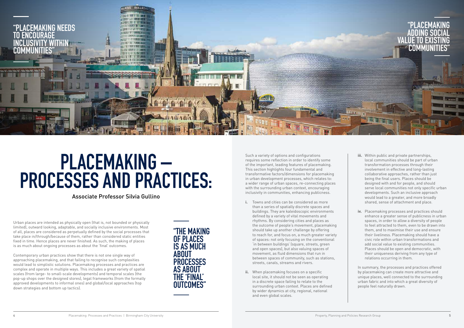## **PLACEMAKING – PROCESSES AND PRACTICES:**

Such a variety of options and configurations requires some reflection in order to identify some of the important, leading features of placemaking. This section highlights four fundamental and transformative factors/dimensions for placemaking in urban development processes, which relates to: a wider range of urban spaces, re-connecting places with the surrounding urban context, encouraging inclusivity in communities, enhancing publicness.

- **i.** Towns and cities can be considered as more than a series of spatially discrete spaces and buildings. They are kaleidoscopic environments defined by a variety of vital movements and rhythms. By considering cities and places as the outcome of people's movement, placemaking should take up another challenge by offering to reach for, and focus on, a much greater variety of spaces: not only focusing on the conventional 'in between buildings' (square, streets, green and open spaces), but also valuing spaces of movement, as fluid dimensions that run in between spaces of community, such as stations, streets, canals, streams and rivers.
- **ii.** When placemaking focuses on a specific local site, it should not be seen as operating in a discrete space failing to relate to the surrounding urban context. Places are defined by wider dynamics at city, regional, national and even global scales.



Urban places are intended as physically open (that is, not bounded or physically limited), outward looking, adaptable, and socially inclusive environments. Most of all, places are considered as perpetually defined by the social processes that take place in/through/because of them, rather than considered static entities fixed in time. Hence places are never finished. As such, the making of places is as much about ongoing processes as about the 'final' outcomes.

### **"PLACEMAKING ADDING SOCIAL VALUE TO EXISTING COMMUN**

Contemporary urban practices show that there is not one single way of approaching placemaking, and that failing to recognise such complexities would lead to simplistic solutions. Placemaking processes and practices are complex and operate in multiple ways. This includes a great variety of spatial scales (from large- to small-scale developments) and temporal scales (the pop-up shops over the designed stores), legal frameworks (from the formally approved developments to informal ones) and global/local approaches (top down strategies and bottom up tactics).

Associate Professor Silvia Gullino

- **iii.** Within public and private partnerships, local communities should be part of urban transformation processes through their involvement in effective and long-lasting collaborative approaches, rather than just being the final users. Places should be designed with and for people, and should serve local communities not only specific urban developments. Such an inclusive approach would lead to a greater, and more broadly shared, sense of attachment and place.
- **iv.** Placemaking processes and practices should enhance a greater sense of publicness in urban spaces, in order to allow a diversity of people to feel attracted to them, even to be drawn into them, and to maximise their use and ensure their liveliness. Placemaking should have a civic role within urban transformations and add social value to existing communities. Places should be open and democratic, with their uniqueness deriving from any type of relations occurring in them.

In summary, the processes and practices offered by placemaking can create more attractive and unique places, well connected to the surrounding urban fabric and into which a great diversity of people feel naturally drawn.

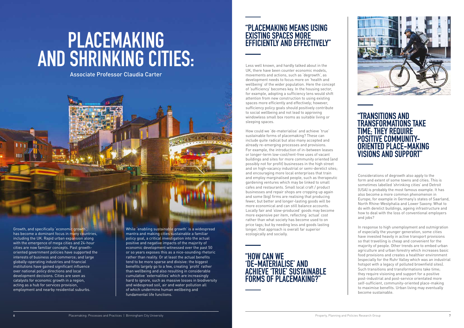## **PLACEMAKING AND SHRINKING CITIES:**

Associate Professor Claudia Carter



### **"PLACEMAKING MEANS USING EXISTING SPACES MORE EFFICIENTLY AND EFFECTIVELY"**

Less well known, and hardly talked about in the UK, there have been counter economic models, movements and actions, such as 'degrowth', as development needs to focus more on 'health and wellbeing' of the wider population. Here the concept of 'sufficiency' becomes key. In the housing sector, for example, adopting a sufficiency lens would shift attention from new construction to using existing spaces more efficiently and effectively; however, sufficiency policy goals should positively contribute to social wellbeing and not lead to approving windowless small box rooms as suitable living or sleeping spaces.

How could we 'de-materialise' and achieve 'true' sustainable forms of placemaking? These can include quite radical but also many accepted and already re-emerging processes and provisions. For example, the introduction of in-between leases or longer-term low-cost/rent-free uses of vacant buildings and sites for more community oriented (and possibly not for profit) businesses in the high street and on high-vacancy industrial or semi-derelict sites; and encouraging more local enterprises that train and employ marginalised people, such as therapeutic gardening ventures which may be linked to small cafes and restaurants. Small local craft / product businesses and repair shops are cropping up again and some (big) firms are realising that producing fewer, but better and longer-lasting goods will be more economical and can still balance accounts. Locally fair and 'slow-produced' goods may become more expensive per item, reflecting 'actual' cost rather than what society has become used to on price tags; but by needing less and goods lasting longer, that approach is overall far superior ecologically and socially.

### **"TRANSITIONS AND TRANSFORMATIONS TAKE TIME; THEY REQUIRE POSITIVE COMMUNITY-ORIENTED PLACE-MAKING VISIONS AND SUPPORT"**

Considerations of degrowth also apply to the form and extent of some towns and cities. This is sometimes labelled 'shrinking cities' and Detroit (USA) is probably the most famous example. It has also become a more common phenomenon in Europe; for example in Germany's states of Saarland, North Rhine-Westphalia and Lower Saxony. What to do with derelict buildings, ageing infrastructure and how to deal with the loss of conventional employers and jobs?

In response to high unemployment and outmigration of especially the younger generation, some cities have invested heavily in active transport provisions so that travelling is cheap and convenient for the majority of people. Other trends are to embed urban agriculture and urban forestry which increases basic food provisions and creates a healthier environment (especially for the Ruhr Valley which was an industrial hotspot with a legacy of polluted brownfield sites). Such transitions and transformations take time; they require visioning and support for a positive post-industrial and post-service orientated more self-sufficient, community-oriented place-making to maximise benefits. Urban living may eventually become sustainable.

Growth, and specifically 'economic growth', has become a dominant focus in many countries, including the UK. Rapid urban expansion along with the emergence of mega cities and 24-hour cities are now familiar concepts. Past growthoriented government policies have supported the interests of business and commerce; and large globally-operating industries and financial institutions have gained significant influence over national policy directions and local development decisions. Cities are seen as catalysts for economic growth in a region, acting as a hub for services provision, employment and nearby residential suburbs.

While 'enabling sustainable growth' is a widespread mantra and making cities sustainable a familiar policy goal, a critical investigation into the actual positive and negative impacts of the majority of economic development witnessed over the past 50 or so years exposes this as a nice-sounding rhetoric rather than reality. Or at least the actual benefits tend to be more sparse and divisive: the biggest benefits largely go to a few, creating 'profit' rather than wellbeing and also resulting in considerable cumulative 'externalities' which are increasingly hard to ignore, such as massive losses in biodiversity and widespread soil, air and water pollution all of which undermine human wellbeing and fundamental life functions.

### **"HOW CAN WE 'DE-MATERIALISE' AND ACHIEVE 'TRUE' SUSTAINABLE FORMS OF PLACEMAKING?"**

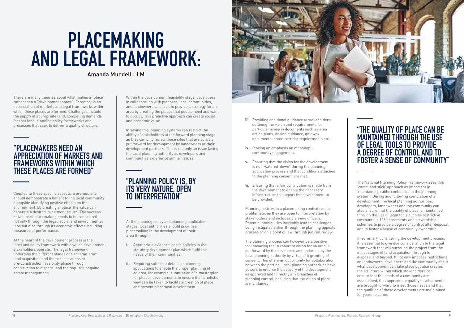# **PLACEMAKING AND LEGAL FRAMEWORK:**

### Amanda Mundell LLM

- **iii.** Providing additional guidance to stakeholders outlining the vision and requirements for particular areas in documents such as area action plans, design guidance, gateway documents, green corridor requirements etc.
- **iv.** Placing an emphasis on meaningful community engagement.
- **v.** Ensuring that the vision for the development is not "watered-down" during the planning application process and that conditions attached to the planning consent are met.
- **vi.** Ensuring that a fair contribution is made from the development to enable the necessary infrastructure to support the development to be provided.

Planning policies in a placemaking context can be problematic as they are open to interpretation by stakeholders and includes planning officers. Potential ambiguities inevitably lead to challenges being instigated either through the planning appeals process or on a point of law through judicial review.

The planning process can however be a positive tool ensuring that a coherent vision for an area is put forward by the developer, and endorsed by the local planning authority by virtue of it granting of consent. This offers an opportunity for collaboration between the parties. Local planning authorities have powers to enforce the delivery of the development as approved and to rectify any breaches of planning control, ensuring that the vision of place is maintained.

### **"THE QUALITY OF PLACE CAN BE MAINTAINED THROUGH THE USE OF LEGAL TOOLS TO PROVIDE A DEGREE OF CONTROL AND TO FOSTER A SENSE OF COMMUNITY"**

The National Planning Policy Framework sees this 'carrot and stick' approach as important in 'maintaining public confidence in the planning system'. During and following completion of a development, the local planning authorities, developers, landowners and the community can also ensure that the quality of place is maintained through the use of legal tools such as restrictive covenants, s.106 agreements and stewardship schemes to provide a degree of control after disposal and to foster a sense of community ownership.

In summary, considering the development process, it is essential to give due consideration to the legal framework that will surround the project from the initial stages of land acquisition through to disposal and beyond. It not only imposes restrictions on landowners, developers and the community about what development can take place but also creates the structure within which stakeholders can ensure that the needs of a community are established, that appropriate quality developments are brought forward to meet those needs and that the qualities of those developments are maintained for years to come.

There are many theories about what makes a "place" rather than a "development space". Foremost is an appreciation of markets and legal frameworks within which these places are formed. Challenges include the supply of appropriate land, competing demands for that land, planning policy frameworks and processes that seek to deliver a quality structure.

Within the development feasibility stage, developers in collaboration with planners, local communities, and landowners can seek to provide a strategy for an area by creating the places that people need and want to occupy. This proactive approach can create social and economic value.

In saying this, planning systems can restrict the ability of stakeholders at the forward planning stage as they can only review those sites that are actively put forward for development by landowners or their development partners. This is not only an issue facing the local planning authority as developers and communities experience similar issues.

### **"PLACEMAKERS NEED AN APPRECIATION OF MARKETS AND FRAMEWORKS WITHIN WHICH THESE PLACES ARE FORMED"**

Coupled to these specific aspects, a prerequisite should demonstrate a benefit to the local community alongside identifying positive effects on the environment. By creating a 'place' the value can generate a desired investment return. The success or failure of placemaking needs to be considered not only through the legal, social and environmental lens but also through its economic effects including measures of performance.

At the heart of the development process is the legal and policy framework within which development stakeholders operate. The legal framework underpins the different stages of a scheme: from land acquisition and the considerations at pre-construction feasibility phase through construction to disposal and the requisite ongoing estate management.

### **"PLANNING POLICY IS, BY ITS VERY NATURE, OPEN TO INTERPRETATION"**

At the planning policy and planning application stages, local authorities should prioritise placemaking in the development of their area through:

- **i.** Appropriate evidence-based policies in the statutory development plan which fulfil the needs of their communities.
- **ii.** Requiring sufficient details on planning applications to enable the proper planning of an area, for example: submission of a masterplan for phased developments to ensure that a holistic view can be taken to facilitate creation of place and prevent piecemeal development.

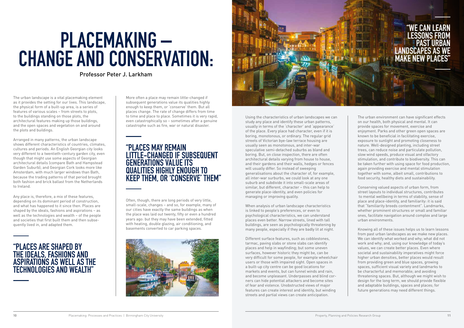# **PLACEMAKING – CHANGE AND CONSERVATION:**

Professor Peter J. Larkham

Using the characteristics of urban landscapes we can study any place and identify these urban patterns, usually in terms of the 'character' and 'appearance' of the place. Every place had character, even if it is boring, monotonous, or ordinary. The regular grid streets of Victorian bye-law terrace housing are usually seen as monotonous, and inter-war speculative semi-detached suburbs as bland and boring. But, on close inspection, there are often architectural details varying from house to house, and their gardens and their walls, hedges or fences will usually differ. So instead of sweeping generalisations about the character of, for example, all inter-war surburbs, we could look at any one suburb and subdivide it into small-scale areas of similar, but different, character – this can help to generate place-identity, and even policies for managing or improving quality.

When analysis of urban landscape characteristics is linked to people's preferences, or even to psychological characteristics, we can understand places even better. Narrow streets, lined with tall buildings, are seen as psychologically threatening by many people, especially if they are badly lit at night.

Different surface features, such as cobblestones, tarmac, paving slabs or stone slabs can identify places and help in wayfinding; but some uneven surfaces, however historic they might be, can be very difficult for some people, for example wheelchair users or those with impaired sight. Open spaces in a built-up city centre can be good locations for markets and events, but can funnel winds and rain, and become unpleasant. Underpasses and blind corners can hide potential attackers and become sites of fear and violence. Unobstructed views of major features can create interest and identity, but winding streets and partial views can create anticipation.

The urban landscape is a vital placemaking element as it provides the setting for our lives. This landscape, the physical form of a built-up area, is a series of features of various scales – from streets to plots, to the buildings standing on those plots, the architectural features making up those buildings, and the open spaces and vegetation on and around the plots and buildings.

Arranged in many patterns, the urban landscape shows different characteristics of countries, climates, cultures and periods. An English Georgian city looks very different to a twentieth-century garden city, even though that might use some aspects of Georgian architectural details (compare Bath and Hampstead Garden Suburb); and Georgian Cork looks more like Amsterdam, with much larger windows than Bath, because the trading patterns of that period brought both fashion and brick ballast from the Netherlands to Ireland.

### **"WE CAN LEARN LESSONS FROM PAST URB LANDSCAPES AS MAKE NEW PI**

Any place is, therefore, a mix of these features, depending on its dominant period of construction, and what has happened to it since then. Places are shaped by the ideals, fashions and aspirations – as well as the technologies and wealth – of the people and societies that first built them and then subsequently lived in, and adapted them.

More often a place may remain little-changed if subsequent generations value its qualities highly enough to keep them, or 'conserve' them. But all places change. The rate of change differs from time to time and place to place. Sometimes it is very rapid, even catastrophically so – sometimes after a genuine catastrophe such as fire, war or natural disaster.

### **"PLACES ARE SHAPED BY THE IDEALS, FASHIONS AND ASPIRATIONS AS WELL AS THE TECHNOLOGIES AND WEALTH"**

### **"PLACES MAY REMAIN LITTLE-CHANGED IF SUBSEQUENT GENERATIONS VALUE ITS QUALITIES HIGHLY ENOUGH TO KEEP THEM, OR 'CONSERVE' THEM"**

Often, though, there are long periods of very little, small-scale, changes – and so, for example, many of our cities have exactly the same buildings as when the place was laid out twenty, fifty or even a hundred years ago: but they may have been extended, fitted with heating, double glazing, air conditioning, and basements converted to car parking spaces.





The urban environment can have significant effects on our health, both physical and mental. It can provide spaces for movement, exercise and enjoyment. Parks and other green open spaces are known to be beneficial in facilitating exercise, exposure to sunlight and promoting closeness to nature. Well-designed planting, including street trees, can reduce noise and particulate pollution, slow wind speeds, produce visual and olfactory stimulation, and contribute to biodiversity. This can be taken further with using space for food production, again providing exercise and mental stimulation together with some, albeit small, contributions to food security, healthy diets and sustainability.

Conserving valued aspects of urban form, from street layouts to individual structures, contributes to mental wellbeing in terms of stability, sense of place and place-identity, and familiarity: it is said that "familiarity breeds contentment". Landmarks, whether prominent structures or small and familiar ones, facilitate navigation around complex and large urban environments.

Knowing all of these issues helps us to learn lessons from past urban landscapes as we make new places. We can identify what worked and why; what did not work and why; and, using our knowledge of today's values, we can create better places. Even where societal and sustainability imperatives might force higher urban densities, better places would result from providing green and blue spaces, growing spaces, sufficient visual variety and landmarks to be characterful and memorable; and avoiding threatening spaces. But, although we might wish to design for the long term, we should provide flexible and adaptable buildings, spaces and places; for future generations may need different things.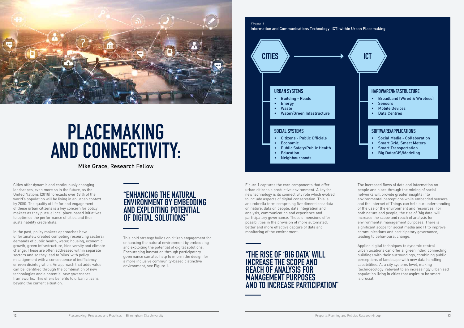

## **PLACEMAKING AND CONNECTIVITY:**

Mike Grace, Research Fellow

Cities offer dynamic and continuously changing landscapes, even more so in the future, as the United Nations (2018) forecasts over 68 % of the world's population will be living in an urban context by 2050. The quality of life for and engagement of these urban citizens is a key concern for policy makers as they pursue local place-based initiatives to optimise the performance of cities and their sustainability credentials.

In the past, policy makers approaches have unfortunately created competing resourcing sectors; demands of public health, water, housing, economic growth, green infrastructure, biodiversity and climate change. These are often addressed within separate sectors and so they lead to 'silos' with policy misalignment with a consequence of inefficiency or even disintegration. An approach that adds value can be identified through the combination of new technologies and a potential new governance frameworks. This offers benefits to urban citizens beyond the current situation.

- Citizens Public Officials
- Economic
- Public Safety/Public Health
- Education
- **Neighbourhoods**

### **"ENHANCING THE NATURAL ENVIRONMENT BY EMBEDDING AND EXPLOITING POTENTIAL OF DIGITAL SOLUTIONS"**

This bold strategy builds on citizen engagement for enhancing the natural environment by embedding and exploiting the potential of digital solutions. Encouraging innovation through participatory governance can also help to inform the design for a more inclusive community-based distinctive environment, see Figure 1.



Information and Communications Technology (ICT) within Urban Placemaking



### **URBAN SYSTEMS**

- Building Roads
- **Energy**
- Waste
- Water/Green Infastructure

### **SOCIAL SYSTEMS**

### **HARDWARE/INFASTRUCTURE**

- Broadband (Wired & Wireless)
- **Sensors**
- **Mobile Devices**
- Data Centres

### **SOFTWARE/APPLICATIONS**

- Social Media Collaboration
- Smart Grid, Smart Meters
- Smart Transportation
- Big Data/GIS/Modeling

Figure 1 captures the core components that offer urban citizens a productive environment. A key for new technology is its connectivity role which evolved to include aspects of digital conservation. This is an umbrella term comprising five dimensions: data on nature, data on people, data integration and analysis, communication and experience and participatory governance. These dimensions offer possibilities in the provision of more automated, better and more effective capture of data and monitoring of the environment.

### **"THE RISE OF 'BIG DATA' WILL INCREASE THE SCOPE AND REACH OF ANALYSIS FOR MANAGEMENT PURPOSES AND TO INCREASE PARTICIPATION"**

The increased flows of data and information on people and place through the mining of social networks will provide greater insights into environmental perceptions while embedded sensors and the Internet of Things can help our understanding of the use of the environment and resources. For both nature and people, the rise of 'big data' will increase the scope and reach of analysis for environmental management purposes. There is significant scope for social media and IT to improve communications and participatory governance, leading to behavioural change.

Applied digital techniques to dynamic central urban locations can offer a 'green index' connecting buildings with their surroundings, combining public perceptions of landscape with new data handling capabilities. At a city systems level, making 'technoecology' relevant to an increasingly urbanised population living in cities that aspire to be smart is crucial.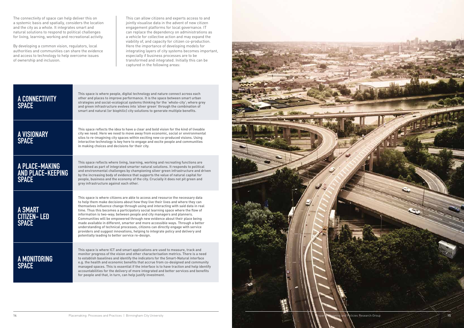

The connectivity of space can help deliver this on a systemic basis and spatially, considers the location and the city as a whole. It integrates smart and natural solutions to respond to political challenges for living, learning, working and recreational activity.

By developing a common vision, regulators, local authorities and communities can share the evidence and access to technology to help overcome issues of ownership and inclusion.

| <b>A CONNECTIVITY</b><br><b>SPACE</b>               | This space is where people, digital technology and nature connect across each<br>other and places to improve performance. It is the space between smart urban<br>strategies and social-ecological systems thinking for the 'whole-city'; where grey<br>and green infrastructure evolves into 'silver green' through the combination of<br>smart and natural (or biophilic) city solutions to generate multiple benefits.                                                                                                                                                                                                                                                                                                                                                                                      |
|-----------------------------------------------------|---------------------------------------------------------------------------------------------------------------------------------------------------------------------------------------------------------------------------------------------------------------------------------------------------------------------------------------------------------------------------------------------------------------------------------------------------------------------------------------------------------------------------------------------------------------------------------------------------------------------------------------------------------------------------------------------------------------------------------------------------------------------------------------------------------------|
| A VISIONARY<br>SPACE                                | This space reflects the idea to have a clear and bold vision for the kind of liveable<br>city we need. Here we need to move away from economic, social or environmental<br>silos to re-imagining city spaces within exciting new co-produced visions. Using<br>interactive technology is key here to engage and excite people and communities<br>in making choices and decisions for their city.                                                                                                                                                                                                                                                                                                                                                                                                              |
| A PLACE-MAKING<br>AND PLACE-KEEPING<br><b>SPACE</b> | This space reflects where living, learning, working and recreating functions are<br>combined as part of integrated smarter natural solutions. It responds to political<br>and environmental challenges by championing silver green infrastructure and driven<br>by the increasing body of evidence that supports the value of natural capital for<br>people, business and the economy of the city. Crucially it does not pit green and<br>grey infrastructure against each other.                                                                                                                                                                                                                                                                                                                             |
| A SMART<br>CITIZEN- LED<br><b>SPACE</b>             | This space is where citizens are able to access and resource the necessary data<br>to help them make decisions about how they live their lives and where they can<br>themselves influence change through using and interacting with said data in real<br>time. Thus this becomes a participatory social learning space where the flow of<br>information is two-way; between people and city managers and planners.<br>Communities will be empowered through new evidence about their place being<br>made available in different, smarter and more accessible ways. Through a better<br>understanding of technical processes, citizens can directly engage with service<br>providers and suggest innovations, helping to integrate policy and delivery and<br>potentially leading to better service re-design. |
| A MONITORING<br><b>SPACE</b>                        | This space is where ICT and smart applications are used to measure, track and<br>monitor progress of the vision and other characterisation metrics. There is a need<br>to establish baselines and identify the indicators for the Smart-Natural interface<br>e.g. the health and economic benefits that accrue from co-designed and community<br>managed spaces. This is essential if the interface is to have traction and help identify<br>accountabilities for the delivery of more integrated and better services and benefits<br>for people and that, in turn, can help justify investment.                                                                                                                                                                                                              |

This can allow citizens and experts access to and jointly visualise data in the advent of new citizen engagement platforms for local governance. IT can replace the dependency on administrations as a vehicle for collective action and may expand the viability of, and capacity for citizen co-production. Here the importance of developing models for integrating layers of city systems becomes important, especially if business processes are to be transformed and integrated. Initially this can be captured in the following areas: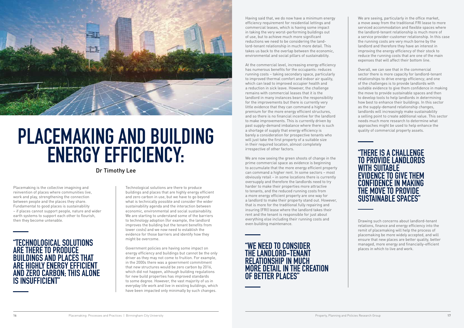

## **PLACEMAKING AND BUILDING ENERGY EFFICIENCY:**

### Dr Timothy Lee

### places in which to live and work. **"WE NEED TO CONSIDER THE LANDLORD-TENANT RELATIONSHIP IN MUCH MORE DETAIL IN THE CREATION OF BETTER PLACES"**

We are seeing, particularly in the office market, a move away from the traditional FRI lease to more serviced accommodation and flexible spaces where the landlord-tenant relationship is much more of a service provider-customer relationship. In this case the running costs are very much borne by the landlord and therefore they have an interest in improving the energy efficiency of their stock to reduce the running costs that are one of the main expenses that will affect their bottom line.

Overall, we can see that in the commercial sector there is more capacity for landlord-tenant relationships to drive energy efficiency; and one of the challenges is to provide landlords with suitable evidence to give them confidence in making the move to provide sustainable spaces and then to develop tools to help landlords in determining how best to enhance their buildings. In this sector as the supply-demand relationship changes, landlords will increasingly make sustainability a selling point to create additional value. This sector needs much more research to determine what approaches might be used to help enhance the quality of commercial property assets.

### **"THERE IS A CHALLENGE TO PROVIDE LANDLORDS WITH SUITABLE EVIDENCE TO GIVE THEM CONFIDENCE IN MAKING THE MOVE TO PROVIDE SUSTAINABLE SPACES"**

Having said that, we do now have a minimum energy efficiency requirement for residential lettings and commercial leases, which is having some impact in taking the very worst-performing buildings out of use, but to achieve much more significant reductions we need to be considering the landlord-tenant relationship in much more detail. This takes us back to the overlap between the economic, environmental and social pillars of sustainability.

At the commercial level, increasing energy efficiency has numerous benefits for the occupants: reduces running costs – taking secondary space, particularly to improved thermal comfort and indoor air quality, which can lead to improved occupier health and a reduction in sick leave. However, the challenge remains with commercial leases that it is the landlord in many instances bears the responsibility for the improvements but there is currently very little evidence that they can command a higher premium for the more energy efficient structures, and so there is no financial incentive for the landlord to make improvements. This is currently driven by past supply-demand imbalance where there is such a shortage of supply that energy efficiency is barely a consideration for prospective tenants who will just take the first property of a suitable size in their required location, almost completely irrespective of other factors.

We are now seeing the green shoots of change in the prime commercial space as evidence is beginning to accumulate that the more energy efficient property can command a higher rent. In some sectors – most obviously retail – in some locations there is currently oversupply and therefore the landlords need to try harder to make their properties more attractive to tenants, and the reduced running costs from a more energy efficient property are one way for a landlord to make their property stand out. However, that is more for the traditional fully repairing and insuring (FRI) lease where the landlord takes their rent and the tenant is responsible for just about everything else including their running costs and even building maintenance.

Placemaking is the collective imagining and reinvention of places where communities live, work and play, strengthening the connection between people and the places they share. Fundamental to good places is sustainability – if places cannot support people, nature and wider earth systems to support each other to flourish, then they become untenable.

### **"TECHNOLOGICAL SOLUTIONS ARE THERE TO PRODUCE BUILDINGS AND PLACES THAT ARE HIGHLY ENERGY EFFICIENT AND ZERO CARBON; THIS ALONE IS INSUFFICIENT"**

Technological solutions are there to produce buildings and places that are highly energy efficient and zero carbon in use, but we have to go beyond what is technically possible and consider the wider sustainability agenda and the interaction between economic, environmental and social sustainability. We are starting to understand some of the barriers to technology adoption (for example, the landlord improves the building but the tenant benefits from lower costs) and we now need to establish the evidence for those barriers and identify how they might be overcome.

Government policies are having some impact on energy efficiency and buildings but cannot be the only driver as they may not come to fruition. For example, in the 2000s there was a government commitment that new structures would be zero carbon by 2016, which did not happen, although building regulations for new build properties has improved standards to some degree. However, the vast majority of us in everyday life work and live in existing buildings, which have been impacted only minimally by such changes.

Drawing such concerns about landlord-tenant relations, finance and energy efficiency into the remit of placemaking will help the process of placemaking be more widely accepted, and will ensure that new places are better quality, better managed, more energy and financially-efficient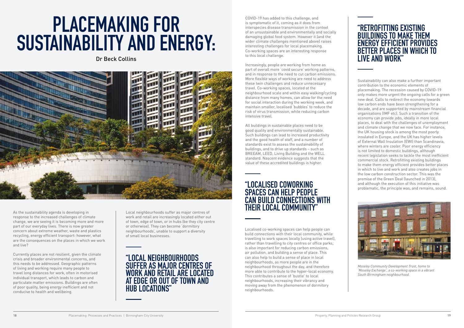# **PLACEMAKING FOR SUSTAINABILITY AND ENERGY:**

Dr Beck Collins



### **"LOCALISED COWORKING SPACES CAN HELP PEOPLE CAN BUILD CONNECTIONS WITH THEIR LOCAL COMMUNITY"**

### **"RETROFITTING EXISTING BUILDINGS TO MAKE THEM ENERGY EFFICIENT PROVIDES BETTER PLACES IN WHICH TO LIVE AND WORK"**

COVID-19 has added to this challenge, and is symptomatic of it, coming as it does from interspecies disease transmission in the context of an unsustainable and environmentally and socially damaging global food system. However it (and the wider climate challenges mentioned above) raises interesting challenges for local placemaking. Co-working spaces are an interesting response to this local challenge.

Increasingly, people are working from home as part of overall more 'covid secure' working patterns, and in response to the need to cut carbon emissions. More flexible ways of working are need to address these twin challenges and reduce unnecessary travel. Co-working spaces, located at the neighbourhood scale and within easy walking/cycling distance from many homes, can allow for the need for social interaction during the working week, and maintain smaller, localised 'bubbles' to reduce the risk of virus transmission, while reducing carbon intensive travel.

All buildings in sustainable places need to be good quality and environmentally sustainable. Such buildings can lead to increased productivity and the good health of staff, and a number of standards exist to assess the sustainability of buildings, and to drive up standards – such as BREEAM, LEED, Living Building and the WELL standard. Nascent evidence suggests that the value of these accredited buildings is higher.

As the sustainability agenda is developing in response to the increased challenges of climate change, we are seeing it is becoming more and more part of our everyday lives. There is now greater concern about extreme weather, waste and plastics recycling, energy efficient transport: however, what are the consequences on the places in which we work and live?

Currently places are not resilient, given the climate crisis and broader environmental concerns, and this needs to be addressed. Geographic patterns of living and working require many people to travel long distances for work, often in motorised individual transport, which leads to carbon and particulate matter emissions. Buildings are often of poor quality, being energy inefficient and not conducive to health and wellbeing.

### **"LOCAL NEIGHBOURHOODS SUFFER AS MAJOR CENTRES OF WORK AND RETAIL ARE LOCATED AT EDGE OR OUT OF TOWN AND HUB LOCATIONS"**

Localised co-working spaces can help people can build connections with their local community, while travelling to work spaces locally (using active travel), rather than travelling to city centres or office parks, is also important for reducing carbon emissions, air pollution, and building a sense of place. This can also help to build a sense of place in local neighbourhoods, as more people are in the neighbourhood throughout the day, and therefore more able to contribute to the hyper-local economy. This contributes a sense of 'bustle' to local neighbourhoods, increasing their vibrancy and moving away from the phenomenon of dormitory neighbourhoods.

Sustainability can also make a further important contribution to the economic elements of placemaking. The recession caused by COVID-19 only makes more urgent the ongoing calls for a green new deal. Calls to redirect the economy towards low carbon ends have been strengthening for a decade, and are supported by mainstream financial organisations (IMF etc). Such a transition of the economy can provide jobs, ideally in more local places, to deal with the challenges of unemployment and climate change that we now face. For instance, the UK housing stock is among the most poorly insulated in Europe, and the UK has higher levels of External Wall Insulation (EWI) than Scandinavia, where winters are cooler. Poor energy efficiency is not limited to domestic buildings, although recent legislation seeks to tackle the most inefficient commercial stock. Retrofitting existing buildings to make them energy efficient provides better places in which to live and work and also creates jobs in the low carbon construction sector. This was the premise of the Green Deal (launched in 2013), and although the execution of this initiative was problematic, the principle was, and remains, sound.



*Moseley Community Development Trust, home to 'Moseley Exchange', a co-working space in a vibrant South Birmingham neighbourhood.*

Local neighbourhoods suffer as major centres of work and retail are increasingly located either out of town, edge of town, or in hubs (be they city centre or otherwise). They can become 'dormitory neighbourhoods', unable to support a diversity of small local businesses.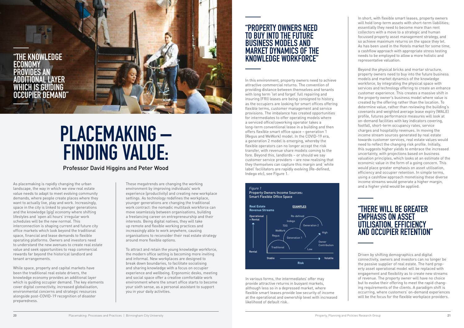# **PLACEMAKING – FINDING VALUE:**

Professor David Higgins and Peter Wood

In short, with flexible smart leases, property owners will hold long-term assets with short-term liabilities; essentially they need to become more than rent collectors with a move to a strategic and human focussed property asset management strategy, and so achieve maximum returns on the space they let. As has been used in the Hotels market for some time, a cashflow approach with appropriate stress testing needs to be employed to allow a more holistic and representative valuation.

Beyond the physical bricks and mortar structure, property owners need to buy into the future business models and market dynamics of the knowledge workforce, by integrating the physical space with services and technology offering to create an enhance customer experience. This creates a massive shift in the property owner's business model where value is created by the offering rather than the location. To determine value, rather than reviewing the building's covenants and weighted average lease expiry (WALE) profile, futures performance measures will look at on-demand facilities with key indicators covering, footfall, short-term occupancy rates, service charges and hospitality revenues. In moving the income stream sources generated by real estate towards customer services, real estate values would need to reflect the changing risk profile. Initially, this suggests higher yields to embrace the increased uncertainty, with projections based on business valuation principles, which looks at an estimate of the economic value in the form of a going concern. This would place greater emphasis on asset utilisation, efficiency and occupier retention. In simple terms, using a cashflow approach monetising these diverse income streams would generate a higher margin,

landscape, the way in which we view real estate value needs to adapt to meet evolving community demands, where people create places where they want to actually live, play and work. Increasingly, space in the city is linked to younger generations and the knowledge (gig) economy where shifting lifestyles and 'open all hours' irregular work schedules will be the new normal. This interconnection is shaping current and future city office markets which look beyond the traditional space, financial and lease demands to flexible operating platforms. Owners and investors need to understand the new avenues to create real estate value and seek opportunities to reap commercial rewards far beyond the historical landlord and tenant arrangements.

Driven by shifting demographics and digital connectivity, owners and investors can no longer be the passive supplier of real estate. The hard property asset operational model will be replaced with engagement and flexibility as to create new streams of revenue. The property owner will have no choice but to evolve their offering to meet the rapid changing requirements of the clients. A paradigm shift is occurring, where customers' on-demand experiences will be the focus for the flexible workplace providers.

While space, property and capital markets have been the traditional real estate drivers, the knowledge economy provides an additional layer which is guiding occupier demand. The key elements cover digital connectivity, increased globalisation, environmental concerns and strategic resources alongside post-COVID-19 recognition of disaster preparedness.

These megatrends are changing the working environment by improving individuals' work experience (productivity) and creating new workplace settings. As technology redefines the workplace, younger generations are changing the traditional work contract: the nomadic multitask workforce can move seamlessly between organisations, building a freelancing career on entrepreneurship and their interests. Being digital natives, they will take up remote and flexible working practices and increasingly able to work anywhere, causing organisations to reconsider their real estate strategy around more flexible options.

To attract and retain the young knowledge workforce, the modern office setting is becoming more inviting and informal. New workplaces are designed to break down boundaries, to facilitate socialising and sharing knowledge with a focus on occupier experience and wellbeing. Ergonomic desks, meeting and social space offer a creative comfortable work environment where the smart office starts to become your sixth sense, as a personal assistant to support you in your daily activities.

### **"PROPERTY OWNERS NEED TO BUY INTO THE FUTURE BUSINESS MODELS AND MARKET DYNAMICS OF THE KNOWLEDGE WORKFORCE"**



In this environment, property owners need to achieve attractive commercial returns. The convention of providing distance between themselves and tenants with long term 'let and forget' full repairing and insuring (FRI) leases are being consigned to history, as the occupiers are looking for smart offices offering flexible terms, customer management and service provisions. The imbalance has created opportunities for intermediates to offer operating models where a serviced office/coworking operator takes a long-term conventional lease in a building and then offers flexible smart office space – generation 1 (Regus and WeWork) model. In the COVID-19 era, a generation 2 model is emerging, whereby the flexible operators can no longer accept the risk transfer, with revenue share models coming to the fore. Beyond this, landlords – or should we say customer service providers – are now realising that they themselves can capture this margin and 'white label' facilitators are rapidly evolving (Re-defined, Indego etc), see Figure 1.

### **"THERE WILL BE GREATER EMPHASIS ON ASSET UTILISATION, EFFICIENCY AND OCCUPIER RETENTION"**

In various forms, the intermediates' offer may provide attractive returns in buoyant markets, although less so in a depressed market, where flexible smart leases provide low security of income at the operational and ownership level with increased likelihood of default risk.

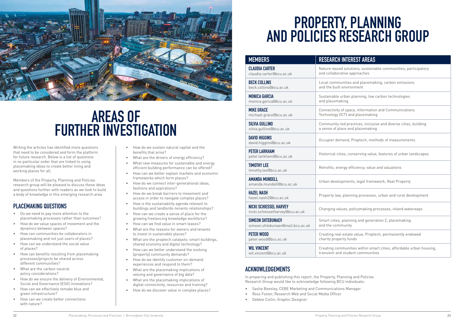

## **AREAS OF FURTHER INVESTIGATION**

Writing the articles has identified more questions that need to be considered and form the platform for future research. Below is a list of questions in no particular order that are linked to using placemaking ideas to create better living and working places for all.

Members of the Property, Planning and Policies research group will be pleased to discuss these ideas and questions further with readers as we look to build a body of knowledge in this emerging research area.

### **PLACEMAKING QUESTIONS**

- Do we need to pay more attention to the placemaking processes rather than outcomes?
- How do we value spaces of movement and the dynamics between spaces?
- How can communities be collaborators in placemaking and not just users of places?
- How can we understand the social value of places?
- How can benefits resulting from placemaking processes/projects be shared across different communities?
- What are the carbon-neutral policy considerations?
- How do we ensure the delivery of Environmental, Social and Governance (ESG) innovations?
- How can we effectively remake blue and green infrastructure?
- How can we create better connections with nature?

## PROPERTY, PLANNING **AND POLICIES RESEARCH GROUP**

- How do we sustain natural capital and the benefits that arise?
- What are the drivers of energy efficiency?
- What new measures for sustainable and energy efficient building performance can be offered?
- How can we better explain markets and economic frameworks which form places?
- How do we connect inter-generational ideas, fashions and aspirations?
- How do we break barriers to movement and access in order to navigate complex places?
- How is the sustainability agenda relevant to buildings and landlords-tenants relationships?
- How can we create a sense of place for the growing freelancing knowledge workforce?
- How can we find value in smart leases?
- What are the reasons for owners and tenants to invest in sustainable places?
- What are the proptech catalysts: smart buildings, shared economy and digital technology?
- How can we better understand the evolving [property] community demands?
- How do we identify customer on-demand experiences and respond to them?
- What are the placemaking implications of valuing and governance of big data?
- What are the placemaking implications of digital connectivity, resources and training?
- How do we discover value in complex places?

| <b>MEMBERS</b>                                                   | <b>RESEARCH INTER</b>                        |
|------------------------------------------------------------------|----------------------------------------------|
| <b>CLAUDIA CARTER</b><br>claudia.carter@bcu.ac.uk                | Nature-based solut<br>and collaborative ap   |
| <b>BECK COLLINS</b><br>beck.collins@bcu.ac.uk                    | Local communities<br>and the built enviror   |
| <b>MONICA GARCIA</b><br>monica.garica@bcu.ac.uk                  | Sustainable urban p<br>and placemaking       |
| <b>MIKE GRACE</b><br>michael.grace@bcu.ac.uk                     | Connectivity of spac<br>Technology (ICT) an  |
| <b>SILVIA GULLINO</b><br>silvia.gullino@bcu.ac.uk                | Community-led pra<br>a sense of place and    |
| <b>DAVID HIGGINS</b><br>david.higgins@bcu.ac.uk                  | Occupier demand, F                           |
| <b>PETER LARKHAM</b><br>peter.larkham@bcu.ac.uk                  | Historical cities, cor                       |
| <b>TIMOTHY LEE</b><br>timothy.lee@bcu.ac.uk                      | Retrofits, energy eff                        |
| <b>AMANDA MUNDELL</b><br>amanda.mundell@bcu.ac.uk                | Urban development                            |
| <b>HAZEL NASH</b><br>hazel.nash2@bcu.ac.uk                       | Property law, plann                          |
| <b>NICKI SCHIESSEL HARVEY</b><br>nicki.schiesselharvey@bcu.ac.uk | Changing values, po                          |
| <b>SIMEON SHTEBUNAEV</b><br>simeon.shtebunaev@mail.bcu.ac.uk     | Smart cities, planni<br>and the community    |
| <b>PETER WOOD</b><br>peter.wood@bcu.ac.uk                        | Creating real estate<br>charity property fun |
| <b>WIL VINCENT</b><br>wil.vincent@bcu.ac.uk                      | Creating communiti<br>transient and stude    |
|                                                                  |                                              |

In preparing and publishing this report, the Property, Planning and Policies Research Group would like to acknowledge following BCU individuals:

- Sasha Beesley, CEBE Marketing and Communications Manager
- Ross Foster, Research Web and Social Media Officer
- Debbie Collin, Graphic Designer

### **REST AREAS**

- itions, sustainable communities; participatory approaches
- es and placemaking, carbon emissions ronment
- planning, low carbon technologies
- ace, Information and Communications Ind placemaking
- ractices, inclusive and diverse cities, building nd placemaking
- Proptech, methods of measurements
- onserving value, features of urban landscapes
- efficiency, value and valuations
- nts. legal framework. Real Property
- ining processes, urban and rural development
- policymaking processes, inland waterways
- ning and generation Z, placemaking
- te value, Proptech, permanently endowed  $inds$
- ities within smart cities, affordable urban housing, dent communities
- 

### **ACKNOWLEDGEMENTS**